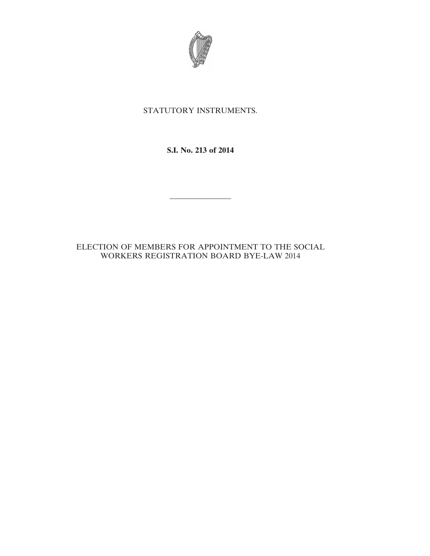

# STATUTORY INSTRUMENTS.

# **S.I. No. 213 of 2014**

————————

# ELECTION OF MEMBERS FOR APPOINTMENT TO THE SOCIAL WORKERS REGISTRATION BOARD BYE-LAW 2014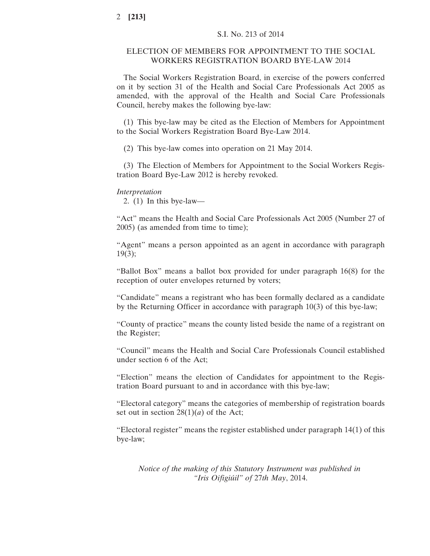# ELECTION OF MEMBERS FOR APPOINTMENT TO THE SOCIAL WORKERS REGISTRATION BOARD BYE-LAW 2014

The Social Workers Registration Board, in exercise of the powers conferred on it by section 31 of the Health and Social Care Professionals Act 2005 as amended, with the approval of the Health and Social Care Professionals Council, hereby makes the following bye-law:

(1) This bye-law may be cited as the Election of Members for Appointment to the Social Workers Registration Board Bye-Law 2014.

(2) This bye-law comes into operation on 21 May 2014.

(3) The Election of Members for Appointment to the Social Workers Registration Board Bye-Law 2012 is hereby revoked.

#### *Interpretation*

2. (1) In this bye-law—

"Act" means the Health and Social Care Professionals Act 2005 (Number 27 of 2005) (as amended from time to time);

"Agent" means a person appointed as an agent in accordance with paragraph  $19(3);$ 

"Ballot Box" means a ballot box provided for under paragraph 16(8) for the reception of outer envelopes returned by voters;

"Candidate" means a registrant who has been formally declared as a candidate by the Returning Officer in accordance with paragraph 10(3) of this bye-law;

"County of practice" means the county listed beside the name of a registrant on the Register;

"Council" means the Health and Social Care Professionals Council established under section 6 of the Act;

"Election" means the election of Candidates for appointment to the Registration Board pursuant to and in accordance with this bye-law;

"Electoral category" means the categories of membership of registration boards set out in section  $28(1)(a)$  of the Act;

"Electoral register" means the register established under paragraph 14(1) of this bye-law;

*Notice of the making of this Statutory Instrument was published in "Iris Oifigiúil" of* 27*th May*, 2014.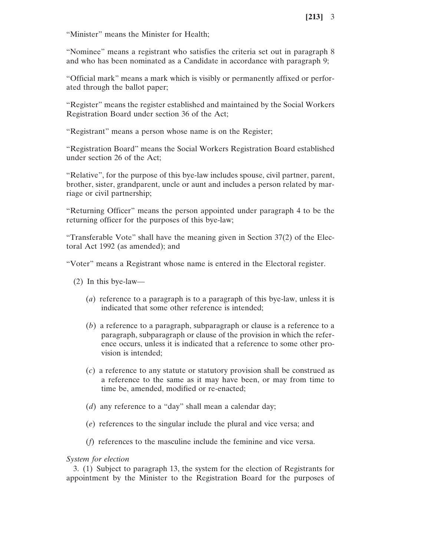"Minister" means the Minister for Health;

"Nominee" means a registrant who satisfies the criteria set out in paragraph 8 and who has been nominated as a Candidate in accordance with paragraph 9;

"Official mark" means a mark which is visibly or permanently affixed or perforated through the ballot paper;

"Register" means the register established and maintained by the Social Workers Registration Board under section 36 of the Act;

"Registrant" means a person whose name is on the Register;

"Registration Board" means the Social Workers Registration Board established under section 26 of the Act;

"Relative", for the purpose of this bye-law includes spouse, civil partner, parent, brother, sister, grandparent, uncle or aunt and includes a person related by marriage or civil partnership;

"Returning Officer" means the person appointed under paragraph 4 to be the returning officer for the purposes of this bye-law;

"Transferable Vote" shall have the meaning given in Section 37(2) of the Electoral Act 1992 (as amended); and

"Voter" means a Registrant whose name is entered in the Electoral register.

- (2) In this bye-law—
	- (*a*) reference to a paragraph is to a paragraph of this bye-law, unless it is indicated that some other reference is intended;
	- (*b*) a reference to a paragraph, subparagraph or clause is a reference to a paragraph, subparagraph or clause of the provision in which the reference occurs, unless it is indicated that a reference to some other provision is intended;
	- (*c*) a reference to any statute or statutory provision shall be construed as a reference to the same as it may have been, or may from time to time be, amended, modified or re-enacted;
	- (*d*) any reference to a "day" shall mean a calendar day;
	- (*e*) references to the singular include the plural and vice versa; and
	- (*f*) references to the masculine include the feminine and vice versa.

# *System for election*

3. (1) Subject to paragraph 13, the system for the election of Registrants for appointment by the Minister to the Registration Board for the purposes of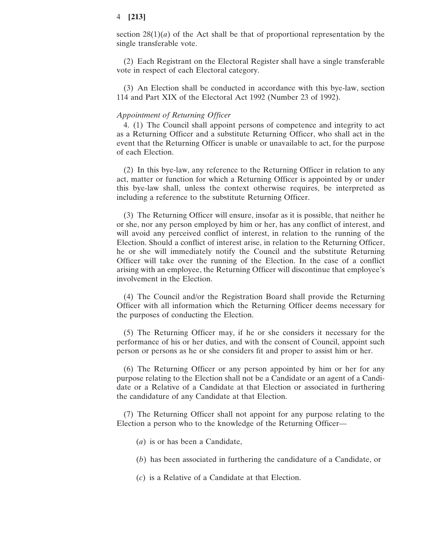section  $28(1)(a)$  of the Act shall be that of proportional representation by the single transferable vote.

(2) Each Registrant on the Electoral Register shall have a single transferable vote in respect of each Electoral category.

(3) An Election shall be conducted in accordance with this bye-law, section 114 and Part XIX of the Electoral Act 1992 (Number 23 of 1992).

# *Appointment of Returning Officer*

4. (1) The Council shall appoint persons of competence and integrity to act as a Returning Officer and a substitute Returning Officer, who shall act in the event that the Returning Officer is unable or unavailable to act, for the purpose of each Election.

(2) In this bye-law, any reference to the Returning Officer in relation to any act, matter or function for which a Returning Officer is appointed by or under this bye-law shall, unless the context otherwise requires, be interpreted as including a reference to the substitute Returning Officer.

(3) The Returning Officer will ensure, insofar as it is possible, that neither he or she, nor any person employed by him or her, has any conflict of interest, and will avoid any perceived conflict of interest, in relation to the running of the Election. Should a conflict of interest arise, in relation to the Returning Officer, he or she will immediately notify the Council and the substitute Returning Officer will take over the running of the Election. In the case of a conflict arising with an employee, the Returning Officer will discontinue that employee's involvement in the Election.

(4) The Council and/or the Registration Board shall provide the Returning Officer with all information which the Returning Officer deems necessary for the purposes of conducting the Election.

(5) The Returning Officer may, if he or she considers it necessary for the performance of his or her duties, and with the consent of Council, appoint such person or persons as he or she considers fit and proper to assist him or her.

(6) The Returning Officer or any person appointed by him or her for any purpose relating to the Election shall not be a Candidate or an agent of a Candidate or a Relative of a Candidate at that Election or associated in furthering the candidature of any Candidate at that Election.

(7) The Returning Officer shall not appoint for any purpose relating to the Election a person who to the knowledge of the Returning Officer—

- (*a*) is or has been a Candidate,
- (*b*) has been associated in furthering the candidature of a Candidate, or
- (*c*) is a Relative of a Candidate at that Election.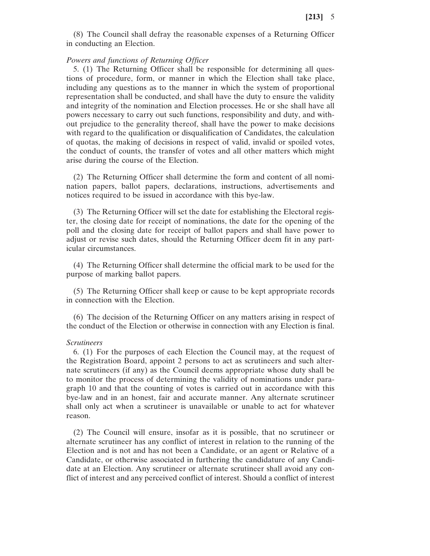(8) The Council shall defray the reasonable expenses of a Returning Officer in conducting an Election.

### *Powers and functions of Returning Officer*

5. (1) The Returning Officer shall be responsible for determining all questions of procedure, form, or manner in which the Election shall take place, including any questions as to the manner in which the system of proportional representation shall be conducted, and shall have the duty to ensure the validity and integrity of the nomination and Election processes. He or she shall have all powers necessary to carry out such functions, responsibility and duty, and without prejudice to the generality thereof, shall have the power to make decisions with regard to the qualification or disqualification of Candidates, the calculation of quotas, the making of decisions in respect of valid, invalid or spoiled votes, the conduct of counts, the transfer of votes and all other matters which might arise during the course of the Election.

(2) The Returning Officer shall determine the form and content of all nomination papers, ballot papers, declarations, instructions, advertisements and notices required to be issued in accordance with this bye-law.

(3) The Returning Officer will set the date for establishing the Electoral register, the closing date for receipt of nominations, the date for the opening of the poll and the closing date for receipt of ballot papers and shall have power to adjust or revise such dates, should the Returning Officer deem fit in any particular circumstances.

(4) The Returning Officer shall determine the official mark to be used for the purpose of marking ballot papers.

(5) The Returning Officer shall keep or cause to be kept appropriate records in connection with the Election.

(6) The decision of the Returning Officer on any matters arising in respect of the conduct of the Election or otherwise in connection with any Election is final.

### *Scrutineers*

6. (1) For the purposes of each Election the Council may, at the request of the Registration Board, appoint 2 persons to act as scrutineers and such alternate scrutineers (if any) as the Council deems appropriate whose duty shall be to monitor the process of determining the validity of nominations under paragraph 10 and that the counting of votes is carried out in accordance with this bye-law and in an honest, fair and accurate manner. Any alternate scrutineer shall only act when a scrutineer is unavailable or unable to act for whatever reason.

(2) The Council will ensure, insofar as it is possible, that no scrutineer or alternate scrutineer has any conflict of interest in relation to the running of the Election and is not and has not been a Candidate, or an agent or Relative of a Candidate, or otherwise associated in furthering the candidature of any Candidate at an Election. Any scrutineer or alternate scrutineer shall avoid any conflict of interest and any perceived conflict of interest. Should a conflict of interest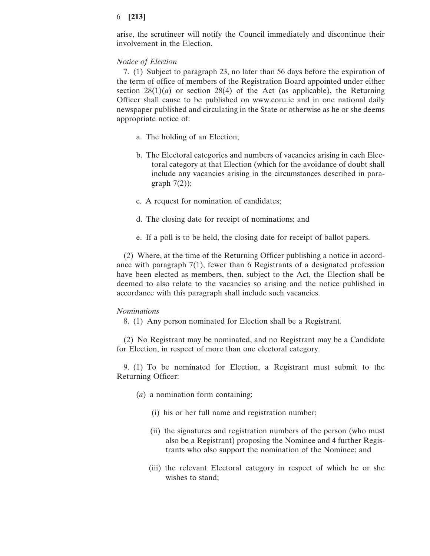arise, the scrutineer will notify the Council immediately and discontinue their involvement in the Election.

# *Notice of Election*

7. (1) Subject to paragraph 23, no later than 56 days before the expiration of the term of office of members of the Registration Board appointed under either section  $28(1)(a)$  or section  $28(4)$  of the Act (as applicable), the Returning Officer shall cause to be published on www.coru.ie and in one national daily newspaper published and circulating in the State or otherwise as he or she deems appropriate notice of:

- a. The holding of an Election;
- b. The Electoral categories and numbers of vacancies arising in each Electoral category at that Election (which for the avoidance of doubt shall include any vacancies arising in the circumstances described in paragraph  $7(2)$ );
- c. A request for nomination of candidates;
- d. The closing date for receipt of nominations; and
- e. If a poll is to be held, the closing date for receipt of ballot papers.

(2) Where, at the time of the Returning Officer publishing a notice in accordance with paragraph 7(1), fewer than 6 Registrants of a designated profession have been elected as members, then, subject to the Act, the Election shall be deemed to also relate to the vacancies so arising and the notice published in accordance with this paragraph shall include such vacancies.

#### *Nominations*

8. (1) Any person nominated for Election shall be a Registrant.

(2) No Registrant may be nominated, and no Registrant may be a Candidate for Election, in respect of more than one electoral category.

9. (1) To be nominated for Election, a Registrant must submit to the Returning Officer:

- (*a*) a nomination form containing:
	- (i) his or her full name and registration number;
	- (ii) the signatures and registration numbers of the person (who must also be a Registrant) proposing the Nominee and 4 further Registrants who also support the nomination of the Nominee; and
	- (iii) the relevant Electoral category in respect of which he or she wishes to stand;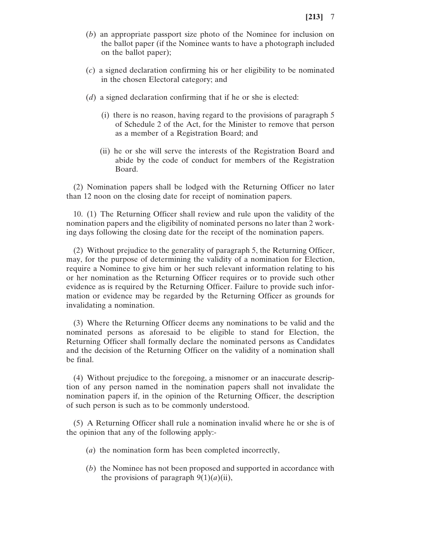- (*b*) an appropriate passport size photo of the Nominee for inclusion on the ballot paper (if the Nominee wants to have a photograph included on the ballot paper);
- (*c*) a signed declaration confirming his or her eligibility to be nominated in the chosen Electoral category; and
- (*d*) a signed declaration confirming that if he or she is elected:
	- (i) there is no reason, having regard to the provisions of paragraph 5 of Schedule 2 of the Act, for the Minister to remove that person as a member of a Registration Board; and
	- (ii) he or she will serve the interests of the Registration Board and abide by the code of conduct for members of the Registration Board.

(2) Nomination papers shall be lodged with the Returning Officer no later than 12 noon on the closing date for receipt of nomination papers.

10. (1) The Returning Officer shall review and rule upon the validity of the nomination papers and the eligibility of nominated persons no later than 2 working days following the closing date for the receipt of the nomination papers.

(2) Without prejudice to the generality of paragraph 5, the Returning Officer, may, for the purpose of determining the validity of a nomination for Election, require a Nominee to give him or her such relevant information relating to his or her nomination as the Returning Officer requires or to provide such other evidence as is required by the Returning Officer. Failure to provide such information or evidence may be regarded by the Returning Officer as grounds for invalidating a nomination.

(3) Where the Returning Officer deems any nominations to be valid and the nominated persons as aforesaid to be eligible to stand for Election, the Returning Officer shall formally declare the nominated persons as Candidates and the decision of the Returning Officer on the validity of a nomination shall be final.

(4) Without prejudice to the foregoing, a misnomer or an inaccurate description of any person named in the nomination papers shall not invalidate the nomination papers if, in the opinion of the Returning Officer, the description of such person is such as to be commonly understood.

(5) A Returning Officer shall rule a nomination invalid where he or she is of the opinion that any of the following apply:-

- (*a*) the nomination form has been completed incorrectly,
- (*b*) the Nominee has not been proposed and supported in accordance with the provisions of paragraph  $9(1)(a)(ii)$ ,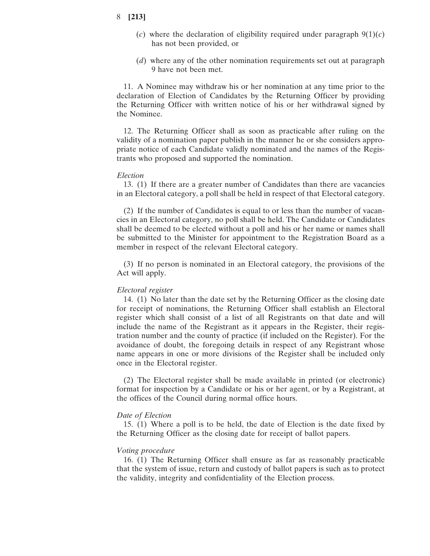- (*c*) where the declaration of eligibility required under paragraph  $9(1)(c)$ has not been provided, or
- (*d*) where any of the other nomination requirements set out at paragraph 9 have not been met.

11. A Nominee may withdraw his or her nomination at any time prior to the declaration of Election of Candidates by the Returning Officer by providing the Returning Officer with written notice of his or her withdrawal signed by the Nominee.

12. The Returning Officer shall as soon as practicable after ruling on the validity of a nomination paper publish in the manner he or she considers appropriate notice of each Candidate validly nominated and the names of the Registrants who proposed and supported the nomination.

#### *Election*

13. (1) If there are a greater number of Candidates than there are vacancies in an Electoral category, a poll shall be held in respect of that Electoral category.

(2) If the number of Candidates is equal to or less than the number of vacancies in an Electoral category, no poll shall be held. The Candidate or Candidates shall be deemed to be elected without a poll and his or her name or names shall be submitted to the Minister for appointment to the Registration Board as a member in respect of the relevant Electoral category.

(3) If no person is nominated in an Electoral category, the provisions of the Act will apply.

#### *Electoral register*

14. (1) No later than the date set by the Returning Officer as the closing date for receipt of nominations, the Returning Officer shall establish an Electoral register which shall consist of a list of all Registrants on that date and will include the name of the Registrant as it appears in the Register, their registration number and the county of practice (if included on the Register). For the avoidance of doubt, the foregoing details in respect of any Registrant whose name appears in one or more divisions of the Register shall be included only once in the Electoral register.

(2) The Electoral register shall be made available in printed (or electronic) format for inspection by a Candidate or his or her agent, or by a Registrant, at the offices of the Council during normal office hours.

#### *Date of Election*

15. (1) Where a poll is to be held, the date of Election is the date fixed by the Returning Officer as the closing date for receipt of ballot papers.

# *Voting procedure*

16. (1) The Returning Officer shall ensure as far as reasonably practicable that the system of issue, return and custody of ballot papers is such as to protect the validity, integrity and confidentiality of the Election process.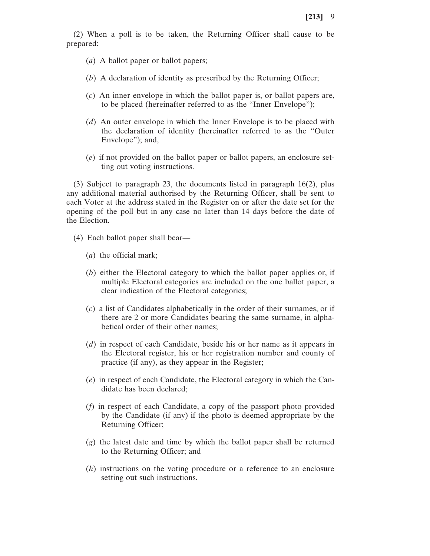(2) When a poll is to be taken, the Returning Officer shall cause to be prepared:

- (*a*) A ballot paper or ballot papers;
- (*b*) A declaration of identity as prescribed by the Returning Officer;
- (*c*) An inner envelope in which the ballot paper is, or ballot papers are, to be placed (hereinafter referred to as the "Inner Envelope");
- (*d*) An outer envelope in which the Inner Envelope is to be placed with the declaration of identity (hereinafter referred to as the "Outer Envelope"); and,
- (*e*) if not provided on the ballot paper or ballot papers, an enclosure setting out voting instructions.

(3) Subject to paragraph 23, the documents listed in paragraph 16(2), plus any additional material authorised by the Returning Officer, shall be sent to each Voter at the address stated in the Register on or after the date set for the opening of the poll but in any case no later than 14 days before the date of the Election.

- (4) Each ballot paper shall bear—
	- (*a*) the official mark;
	- (*b*) either the Electoral category to which the ballot paper applies or, if multiple Electoral categories are included on the one ballot paper, a clear indication of the Electoral categories;
	- (*c*) a list of Candidates alphabetically in the order of their surnames, or if there are 2 or more Candidates bearing the same surname, in alphabetical order of their other names;
	- (*d*) in respect of each Candidate, beside his or her name as it appears in the Electoral register, his or her registration number and county of practice (if any), as they appear in the Register;
	- (*e*) in respect of each Candidate, the Electoral category in which the Candidate has been declared;
	- (*f*) in respect of each Candidate, a copy of the passport photo provided by the Candidate (if any) if the photo is deemed appropriate by the Returning Officer;
	- (*g*) the latest date and time by which the ballot paper shall be returned to the Returning Officer; and
	- (*h*) instructions on the voting procedure or a reference to an enclosure setting out such instructions.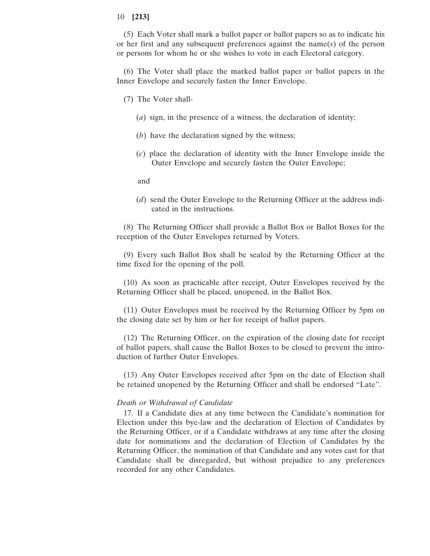(5) Each Voter shall mark a ballot paper or ballot papers so as to indicate his or her first and any subsequent preferences against the name(*s*) of the person or persons for whom he or she wishes to vote in each Electoral category.

(6) The Voter shall place the marked ballot paper or ballot papers in the Inner Envelope and securely fasten the Inner Envelope.

- (7) The Voter shall-
	- (*a*) sign, in the presence of a witness, the declaration of identity;
	- (*b*) have the declaration signed by the witness;
	- (*c*) place the declaration of identity with the Inner Envelope inside the Outer Envelope and securely fasten the Outer Envelope;

and

(*d*) send the Outer Envelope to the Returning Officer at the address indicated in the instructions.

(8) The Returning Officer shall provide a Ballot Box or Ballot Boxes for the reception of the Outer Envelopes returned by Voters.

(9) Every such Ballot Box shall be sealed by the Returning Officer at the time fixed for the opening of the poll.

(10) As soon as practicable after receipt, Outer Envelopes received by the Returning Officer shall be placed, unopened, in the Ballot Box.

(11) Outer Envelopes must be received by the Returning Officer by 5pm on the closing date set by him or her for receipt of ballot papers.

(12) The Returning Officer, on the expiration of the closing date for receipt of ballot papers, shall cause the Ballot Boxes to be closed to prevent the introduction of further Outer Envelopes.

(13) Any Outer Envelopes received after 5pm on the date of Election shall be retained unopened by the Returning Officer and shall be endorsed "Late".

#### *Death or Withdrawal of Candidate*

17. If a Candidate dies at any time between the Candidate's nomination for Election under this bye-law and the declaration of Election of Candidates by the Returning Officer, or if a Candidate withdraws at any time after the closing date for nominations and the declaration of Election of Candidates by the Returning Officer, the nomination of that Candidate and any votes cast for that Candidate shall be disregarded, but without prejudice to any preferences recorded for any other Candidates.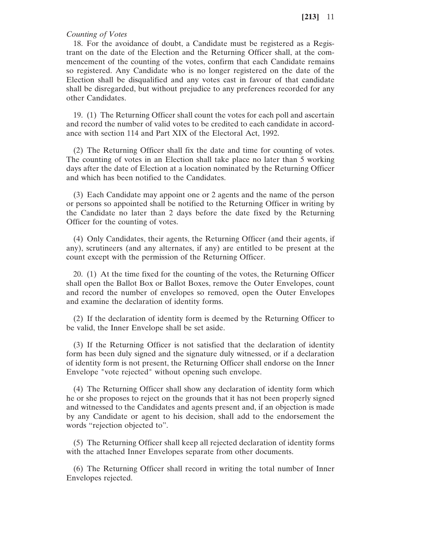### *Counting of Votes*

18. For the avoidance of doubt, a Candidate must be registered as a Registrant on the date of the Election and the Returning Officer shall, at the commencement of the counting of the votes, confirm that each Candidate remains so registered. Any Candidate who is no longer registered on the date of the Election shall be disqualified and any votes cast in favour of that candidate shall be disregarded, but without prejudice to any preferences recorded for any other Candidates.

19. (1) The Returning Officer shall count the votes for each poll and ascertain and record the number of valid votes to be credited to each candidate in accordance with section 114 and Part XIX of the Electoral Act, 1992.

(2) The Returning Officer shall fix the date and time for counting of votes. The counting of votes in an Election shall take place no later than 5 working days after the date of Election at a location nominated by the Returning Officer and which has been notified to the Candidates.

(3) Each Candidate may appoint one or 2 agents and the name of the person or persons so appointed shall be notified to the Returning Officer in writing by the Candidate no later than 2 days before the date fixed by the Returning Officer for the counting of votes.

(4) Only Candidates, their agents, the Returning Officer (and their agents, if any), scrutineers (and any alternates, if any) are entitled to be present at the count except with the permission of the Returning Officer.

20. (1) At the time fixed for the counting of the votes, the Returning Officer shall open the Ballot Box or Ballot Boxes, remove the Outer Envelopes, count and record the number of envelopes so removed, open the Outer Envelopes and examine the declaration of identity forms.

(2) If the declaration of identity form is deemed by the Returning Officer to be valid, the Inner Envelope shall be set aside.

(3) If the Returning Officer is not satisfied that the declaration of identity form has been duly signed and the signature duly witnessed, or if a declaration of identity form is not present, the Returning Officer shall endorse on the Inner Envelope "vote rejected" without opening such envelope.

(4) The Returning Officer shall show any declaration of identity form which he or she proposes to reject on the grounds that it has not been properly signed and witnessed to the Candidates and agents present and, if an objection is made by any Candidate or agent to his decision, shall add to the endorsement the words "rejection objected to".

(5) The Returning Officer shall keep all rejected declaration of identity forms with the attached Inner Envelopes separate from other documents.

(6) The Returning Officer shall record in writing the total number of Inner Envelopes rejected.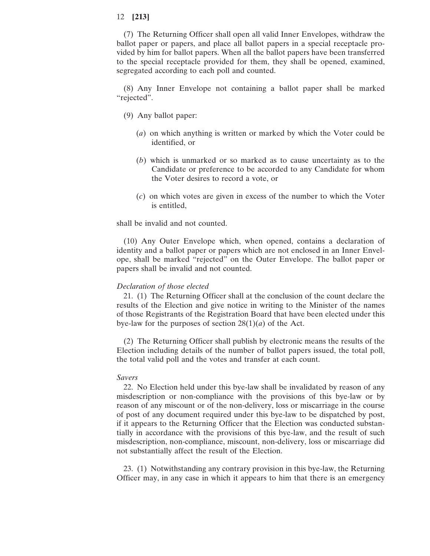(7) The Returning Officer shall open all valid Inner Envelopes, withdraw the ballot paper or papers, and place all ballot papers in a special receptacle provided by him for ballot papers. When all the ballot papers have been transferred to the special receptacle provided for them, they shall be opened, examined, segregated according to each poll and counted.

(8) Any Inner Envelope not containing a ballot paper shall be marked "rejected".

- (9) Any ballot paper:
	- (*a*) on which anything is written or marked by which the Voter could be identified, or
	- (*b*) which is unmarked or so marked as to cause uncertainty as to the Candidate or preference to be accorded to any Candidate for whom the Voter desires to record a vote, or
	- (*c*) on which votes are given in excess of the number to which the Voter is entitled,

shall be invalid and not counted.

(10) Any Outer Envelope which, when opened, contains a declaration of identity and a ballot paper or papers which are not enclosed in an Inner Envelope, shall be marked "rejected" on the Outer Envelope. The ballot paper or papers shall be invalid and not counted.

# *Declaration of those elected*

21. (1) The Returning Officer shall at the conclusion of the count declare the results of the Election and give notice in writing to the Minister of the names of those Registrants of the Registration Board that have been elected under this bye-law for the purposes of section  $28(1)(a)$  of the Act.

(2) The Returning Officer shall publish by electronic means the results of the Election including details of the number of ballot papers issued, the total poll, the total valid poll and the votes and transfer at each count.

#### *Savers*

22. No Election held under this bye-law shall be invalidated by reason of any misdescription or non-compliance with the provisions of this bye-law or by reason of any miscount or of the non-delivery, loss or miscarriage in the course of post of any document required under this bye-law to be dispatched by post, if it appears to the Returning Officer that the Election was conducted substantially in accordance with the provisions of this bye-law, and the result of such misdescription, non-compliance, miscount, non-delivery, loss or miscarriage did not substantially affect the result of the Election.

23. (1) Notwithstanding any contrary provision in this bye-law, the Returning Officer may, in any case in which it appears to him that there is an emergency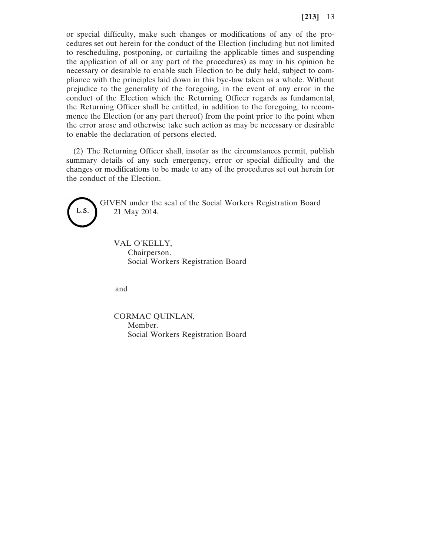or special difficulty, make such changes or modifications of any of the procedures set out herein for the conduct of the Election (including but not limited to rescheduling, postponing, or curtailing the applicable times and suspending the application of all or any part of the procedures) as may in his opinion be necessary or desirable to enable such Election to be duly held, subject to compliance with the principles laid down in this bye-law taken as a whole. Without prejudice to the generality of the foregoing, in the event of any error in the conduct of the Election which the Returning Officer regards as fundamental, the Returning Officer shall be entitled, in addition to the foregoing, to recommence the Election (or any part thereof) from the point prior to the point when the error arose and otherwise take such action as may be necessary or desirable to enable the declaration of persons elected.

(2) The Returning Officer shall, insofar as the circumstances permit, publish summary details of any such emergency, error or special difficulty and the changes or modifications to be made to any of the procedures set out herein for the conduct of the Election.



GIVEN under the seal of the Social Workers Registration Board 21 May 2014.

VAL O'KELLY, Chairperson. Social Workers Registration Board

and

CORMAC QUINLAN, Member. Social Workers Registration Board